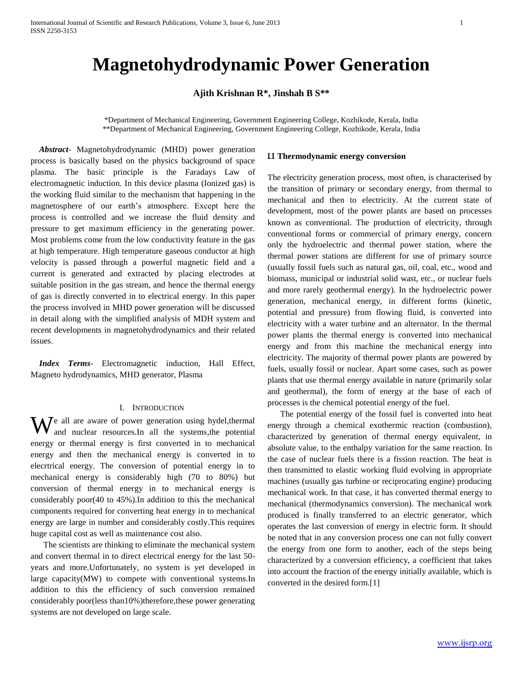# **Magnetohydrodynamic Power Generation**

**Ajith Krishnan R\*, Jinshah B S\*\***

\*Department of Mechanical Engineering, Government Engineering College, Kozhikode, Kerala, India \*\*Department of Mechanical Engineering, Government Engineering College, Kozhikode, Kerala, India

 *Abstract*- Magnetohydrodynamic (MHD) power generation process is basically based on the physics background of space plasma. The basic principle is the Faradays Law of electromagnetic induction. In this device plasma (Ionized gas) is the working fluid similar to the mechanism that happening in the magnetosphere of our earth's atmosphere. Except here the process is controlled and we increase the fluid density and pressure to get maximum efficiency in the generating power. Most problems come from the low conductivity feature in the gas at high temperature. High temperature gaseous conductor at high velocity is passed through a powerful magnetic field and a current is generated and extracted by placing electrodes at suitable position in the gas stream, and hence the thermal energy of gas is directly converted in to electrical energy. In this paper the process involved in MHD power generation will be discussed in detail along with the simplified analysis of MDH system and recent developments in magnetohydrodynamics and their related issues.

 *Index Terms*- Electromagnetic induction, Hall Effect, Magneto hydrodynamics, MHD generator, Plasma

## I. INTRODUCTION

 $\mathbf{W}$ e all are aware of power generation using hydel, thermal and nuclear resources. In all the systems, the potential and nuclear resources.In all the systems,the potential energy or thermal energy is first converted in to mechanical energy and then the mechanical energy is converted in to elecrtrical energy. The conversion of potential energy in to mechanical energy is considerably high (70 to 80%) but conversion of thermal energy in to mechanical energy is considerably poor(40 to 45%).In addition to this the mechanical components required for converting heat energy in to mechanical energy are large in number and considerably costly.This requires huge capital cost as well as maintenance cost also.

The scientists are thinking to eliminate the mechanical system and convert thermal in to direct electrical energy for the last 50 years and more.Unfortunately, no system is yet developed in large capacity(MW) to compete with conventional systems.In addition to this the efficiency of such conversion remained considerably poor(less than10%)therefore,these power generating systems are not developed on large scale.

## I.I **Thermodynamic energy conversion**

The electricity generation process, most often, is characterised by the transition of primary or secondary energy, from thermal to mechanical and then to electricity. At the current state of development, most of the power plants are based on processes known as conventional. The production of electricity, through conventional forms or commercial of primary energy, concern only the hydroelectric and thermal power station, where the thermal power stations are different for use of primary source (usually fossil fuels such as natural gas, oil, coal, etc., wood and biomass, municipal or industrial solid wast, etc., or nuclear fuels and more rarely geothermal energy). In the hydroelectric power generation, mechanical energy, in different forms (kinetic, potential and pressure) from flowing fluid, is converted into electricity with a water turbine and an alternator. In the thermal power plants the thermal energy is converted into mechanical energy and from this machine the mechanical energy into electricity. The majority of thermal power plants are powered by fuels, usually fossil or nuclear. Apart some cases, such as power plants that use thermal energy available in nature (primarily solar and geothermal), the form of energy at the base of each of processes is the chemical potential energy of the fuel.

The potential energy of the fossil fuel is converted into heat energy through a chemical exothermic reaction (combustion), characterized by generation of thermal energy equivalent, in absolute value, to the enthalpy variation for the same reaction. In the case of nuclear fuels there is a fission reaction. The heat is then transmitted to elastic working fluid evolving in appropriate machines (usually gas turbine or reciprocating engine) producing mechanical work. In that case, it has converted thermal energy to mechanical (thermodynamics conversion). The mechanical work produced is finally transferred to an electric generator, which operates the last conversion of energy in electric form. It should be noted that in any conversion process one can not fully convert the energy from one form to another, each of the steps being characterized by a conversion efficiency, a coefficient that takes into account the fraction of the energy initially available, which is converted in the desired form.[1]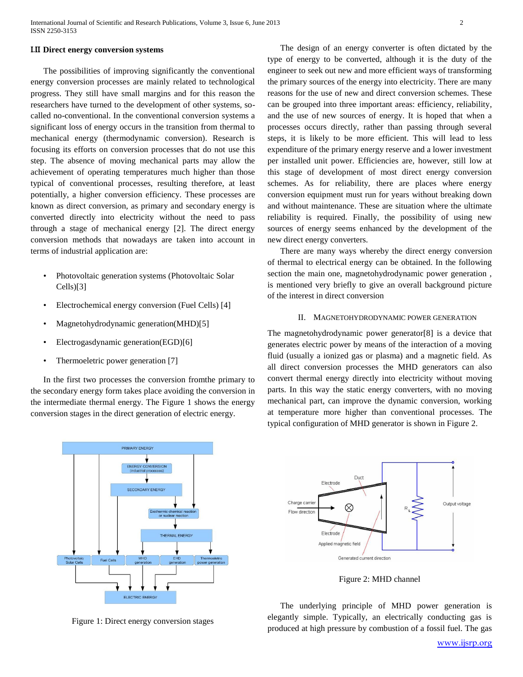#### I.II **Direct energy conversion systems**

 The possibilities of improving significantly the conventional energy conversion processes are mainly related to technological progress. They still have small margins and for this reason the researchers have turned to the development of other systems, socalled no-conventional. In the conventional conversion systems a significant loss of energy occurs in the transition from thermal to mechanical energy (thermodynamic conversion). Research is focusing its efforts on conversion processes that do not use this step. The absence of moving mechanical parts may allow the achievement of operating temperatures much higher than those typical of conventional processes, resulting therefore, at least potentially, a higher conversion efficiency. These processes are known as direct conversion, as primary and secondary energy is converted directly into electricity without the need to pass through a stage of mechanical energy [2]. The direct energy conversion methods that nowadays are taken into account in terms of industrial application are:

- Photovoltaic generation systems (Photovoltaic Solar Cells)[3]
- Electrochemical energy conversion (Fuel Cells) [4]
- Magnetohydrodynamic generation(MHD)[5]
- Electrogasdynamic generation(EGD)[6]
- Thermoeletric power generation [7]

Fuel Cell

In the first two processes the conversion fromthe primary to the secondary energy form takes place avoiding the conversion in the intermediate thermal energy. The Figure 1 shows the energy conversion stages in the direct generation of electric energy.

PRIMARY ENERGY

ENERGY

SECONDARY ENERGY

**VERSION** 

THERMAL ENERGY

The design of an energy converter is often dictated by the type of energy to be converted, although it is the duty of the engineer to seek out new and more efficient ways of transforming the primary sources of the energy into electricity. There are many reasons for the use of new and direct conversion schemes. These can be grouped into three important areas: efficiency, reliability, and the use of new sources of energy. It is hoped that when a processes occurs directly, rather than passing through several steps, it is likely to be more efficient. This will lead to less expenditure of the primary energy reserve and a lower investment per installed unit power. Efficiencies are, however, still low at this stage of development of most direct energy conversion schemes. As for reliability, there are places where energy conversion equipment must run for years without breaking down and without maintenance. These are situation where the ultimate reliability is required. Finally, the possibility of using new sources of energy seems enhanced by the development of the new direct energy converters.

There are many ways whereby the direct energy conversion of thermal to electrical energy can be obtained. In the following section the main one, magnetohydrodynamic power generation , is mentioned very briefly to give an overall background picture of the interest in direct conversion

## II. MAGNETOHYDRODYNAMIC POWER GENERATION

The magnetohydrodynamic power generator[8] is a device that generates electric power by means of the interaction of a moving fluid (usually a ionized gas or plasma) and a magnetic field. As all direct conversion processes the MHD generators can also convert thermal energy directly into electricity without moving parts. In this way the static energy converters, with no moving mechanical part, can improve the dynamic conversion, working at temperature more higher than conventional processes. The typical configuration of MHD generator is shown in Figure 2.



Figure 2: MHD channel

The underlying principle of MHD power generation is elegantly simple. Typically, an electrically conducting gas is produced at high pressure by combustion of a fossil fuel. The gas



ELECTRIC ENERGY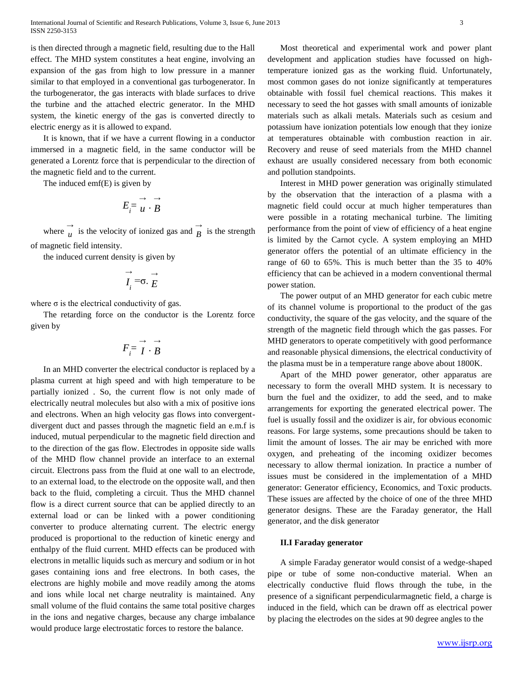is then directed through a magnetic field, resulting due to the Hall effect. The MHD system constitutes a heat engine, involving an expansion of the gas from high to low pressure in a manner similar to that employed in a conventional gas turbogenerator. In the turbogenerator, the gas interacts with blade surfaces to drive the turbine and the attached electric generator. In the MHD system, the kinetic energy of the gas is converted directly to electric energy as it is allowed to expand.

It is known, that if we have a current flowing in a conductor immersed in a magnetic field, in the same conductor will be generated a Lorentz force that is perpendicular to the direction of the magnetic field and to the current.

The induced emf(E) is given by

$$
E_i = \overrightarrow{u} \cdot \overrightarrow{B}
$$

where  $\frac{\rightarrow}{u}$  $\overrightarrow{u}$  is the velocity of ionized gas and  $\overrightarrow{B}$  $B$  is the strength of magnetic field intensity.

the induced current density is given by

$$
\overrightarrow{I_i} = \sigma \cdot \overrightarrow{E}
$$

where  $\sigma$  is the electrical conductivity of gas.

The retarding force on the conductor is the Lorentz force given by

$$
F_i = \overrightarrow{I} \cdot \overrightarrow{B}
$$

In an MHD converter the electrical conductor is replaced by a plasma current at high speed and with high temperature to be partially ionized . So, the current flow is not only made of electrically neutral molecules but also with a mix of positive ions and electrons. When an high velocity gas flows into convergentdivergent duct and passes through the magnetic field an e.m.f is induced, mutual perpendicular to the magnetic field direction and to the direction of the gas flow. Electrodes in opposite side walls of the MHD flow channel provide an interface to an external circuit. Electrons pass from the fluid at one wall to an electrode, to an external load, to the electrode on the opposite wall, and then back to the fluid, completing a circuit. Thus the MHD channel flow is a direct current source that can be applied directly to an external load or can be linked with a power conditioning converter to produce alternating current. The electric energy produced is proportional to the reduction of kinetic energy and enthalpy of the fluid current. MHD effects can be produced with electrons in metallic liquids such as mercury and sodium or in hot gases containing ions and free electrons. In both cases, the electrons are highly mobile and move readily among the atoms and ions while local net charge neutrality is maintained. Any small volume of the fluid contains the same total positive charges in the ions and negative charges, because any charge imbalance would produce large electrostatic forces to restore the balance.

Most theoretical and experimental work and power plant development and application studies have focussed on hightemperature ionized gas as the working fluid. Unfortunately, most common gases do not ionize significantly at temperatures obtainable with fossil fuel chemical reactions. This makes it necessary to seed the hot gasses with small amounts of ionizable materials such as alkali metals. Materials such as cesium and potassium have ionization potentials low enough that they ionize at temperatures obtainable with combustion reaction in air. Recovery and reuse of seed materials from the MHD channel exhaust are usually considered necessary from both economic and pollution standpoints.

Interest in MHD power generation was originally stimulated by the observation that the interaction of a plasma with a magnetic field could occur at much higher temperatures than were possible in a rotating mechanical turbine. The limiting performance from the point of view of efficiency of a heat engine is limited by the Carnot cycle. A system employing an MHD generator offers the potential of an ultimate efficiency in the range of 60 to 65%. This is much better than the 35 to 40% efficiency that can be achieved in a modern conventional thermal power station.

The power output of an MHD generator for each cubic metre of its channel volume is proportional to the product of the gas conductivity, the square of the gas velocity, and the square of the strength of the magnetic field through which the gas passes. For MHD generators to operate competitively with good performance and reasonable physical dimensions, the electrical conductivity of the plasma must be in a temperature range above about 1800K.

Apart of the MHD power generator, other apparatus are necessary to form the overall MHD system. It is necessary to burn the fuel and the oxidizer, to add the seed, and to make arrangements for exporting the generated electrical power. The fuel is usually fossil and the oxidizer is air, for obvious economic reasons. For large systems, some precautions should be taken to limit the amount of losses. The air may be enriched with more oxygen, and preheating of the incoming oxidizer becomes necessary to allow thermal ionization. In practice a number of issues must be considered in the implementation of a MHD generator: Generator efficiency, Economics, and Toxic products. These issues are affected by the choice of one of the three MHD generator designs. These are the Faraday generator, the Hall generator, and the disk generator

#### **II.I Faraday generator**

A simple Faraday generator would consist of a wedge-shaped pipe or tube of some non-conductive material. When an electrically conductive fluid flows through the tube, in the presence of a significant perpendicularmagnetic field, a charge is induced in the field, which can be drawn off as electrical power by placing the electrodes on the sides at 90 degree angles to the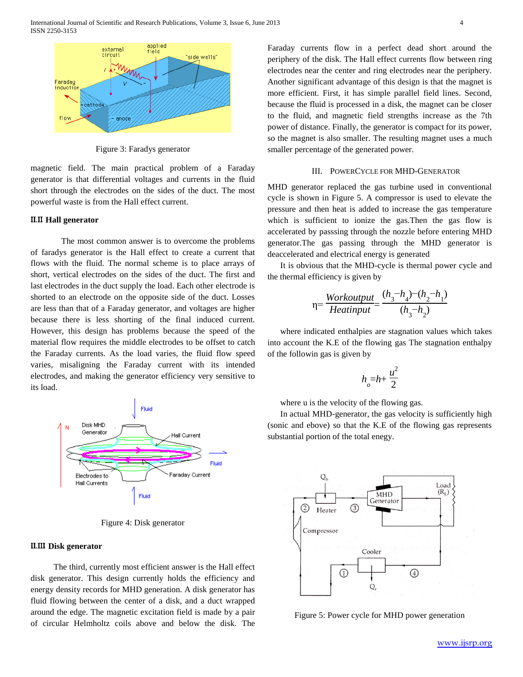

Figure 3: Faradys generator

magnetic field. The main practical problem of a Faraday generator is that differential voltages and currents in the fluid short through the electrodes on the sides of the duct. The most powerful waste is from the Hall effect current.

## II.II **Hall generator**

The most common answer is to overcome the problems of faradys generator is the Hall effect to create a current that flows with the fluid. The normal scheme is to place arrays of short, vertical electrodes on the sides of the duct. The first and last electrodes in the duct supply the load. Each other electrode is shorted to an electrode on the opposite side of the duct. Losses are less than that of a Faraday generator, and voltages are higher because there is less shorting of the final induced current. However, this design has problems because the speed of the material flow requires the middle electrodes to be offset to catch the Faraday currents. As the load varies, the fluid flow speed varies, misaligning the Faraday current with its intended electrodes, and making the generator efficiency very sensitive to its load.



Figure 4: Disk generator

## II.III **Disk generator**

The third, currently most efficient answer is the Hall effect disk generator. This design currently holds the efficiency and energy density records for MHD generation. A disk generator has fluid flowing between the center of a disk, and a duct wrapped around the edge. The magnetic excitation field is made by a pair of circular Helmholtz coils above and below the disk. The Faraday currents flow in a perfect dead short around the periphery of the disk. The Hall effect currents flow between ring electrodes near the center and ring electrodes near the periphery. Another significant advantage of this design is that the magnet is more efficient. First, it has simple parallel field lines. Second, because the fluid is processed in a disk, the magnet can be closer to the fluid, and magnetic field strengths increase as the 7th power of distance. Finally, the generator is compact for its power, so the magnet is also smaller. The resulting magnet uses a much smaller percentage of the generated power.

## III. POWERCYCLE FOR MHD-GENERATOR

MHD generator replaced the gas turbine used in conventional cycle is shown in Figure 5. A compressor is used to elevate the pressure and then heat is added to increase the gas temperature which is sufficient to ionize the gas. Then the gas flow is accelerated by passsing through the nozzle before entering MHD generator.The gas passing through the MHD generator is deaccelerated and electrical energy is generated

It is obvious that the MHD-cycle is thermal power cycle and the thermal efficiency is given by

$$
\eta = \frac{Workoutput}{Heatinput} = \frac{(h_3 - h_4) - (h_2 - h_1)}{(h_3 - h_2)}
$$

where indicated enthalpies are stagnation values which takes into account the K.E of the flowing gas The stagnation enthalpy of the followin gas is given by

$$
h_o=h+\frac{u^2}{2}
$$

where u is the velocity of the flowing gas.

In actual MHD-generator, the gas velocity is sufficiently high (sonic and ebove) so that the K.E of the flowing gas represents substantial portion of the total enegy.



Figure 5: Power cycle for MHD power generation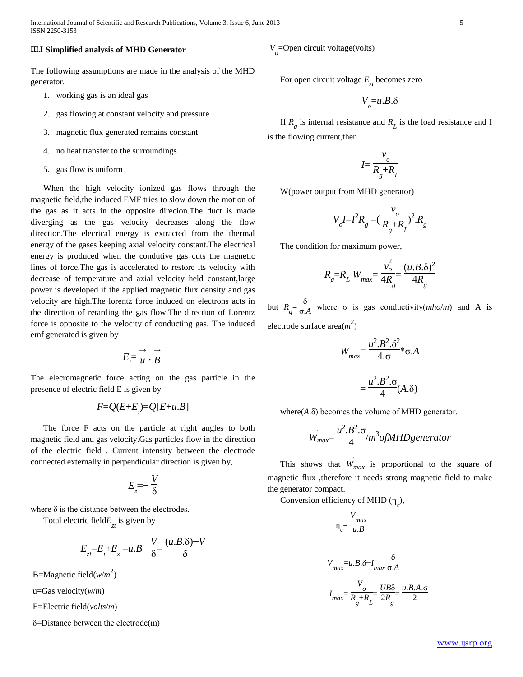International Journal of Scientific and Research Publications, Volume 3, Issue 6, June 2013 5 ISSN 2250-3153

## III.I **Simplified analysis of MHD Generator**

The following assumptions are made in the analysis of the MHD generator.

- 1. working gas is an ideal gas
- 2. gas flowing at constant velocity and pressure
- 3. magnetic flux generated remains constant
- 4. no heat transfer to the surroundings
- 5. gas flow is uniform

When the high velocity ionized gas flows through the magnetic field,the induced EMF tries to slow down the motion of the gas as it acts in the opposite direcion.The duct is made diverging as the gas velocity decreases along the flow direction.The elecrical energy is extracted from the thermal energy of the gases keeping axial velocity constant.The electrical energy is produced when the condutive gas cuts the magnetic lines of force.The gas is accelerated to restore its velocity with decrease of temperature and axial velocity held constant,large power is developed if the applied magnetic flux density and gas velocity are high.The lorentz force induced on electrons acts in the direction of retarding the gas flow.The direction of Lorentz force is opposite to the velocity of conducting gas. The induced emf generated is given by

$$
E_i = \overrightarrow{u} \cdot \overrightarrow{B}
$$

The elecromagnetic force acting on the gas particle in the presence of electric field E is given by

$$
F = Q(E + E_i) = Q[E + u.B]
$$

The force F acts on the particle at right angles to both magnetic field and gas velocity.Gas particles flow in the direction of the electric field . Current intensity between the electrode connected externally in perpendicular direction is given by,

$$
E_z = -\frac{V}{\delta}
$$

where  $\delta$  is the distance between the electrodes.

Total electric field $E_{zt}$  is given by

$$
E_{zt} = E_t + E_z = u.B - \frac{V}{\delta} = \frac{(u.B.\delta) - V}{\delta}
$$

B=Magnetic field( $w/m^2$ )

u=Gas velocity(*w*/*m*)

E=Electric field(*volts*/*m*)

δ=Distance between the electrode(m)

 $V_o$ =Open circuit voltage(volts)

For open circuit voltage *E zt* becomes zero

$$
V_{o} = u.B.\delta
$$

If  $R_g$  is internal resistance and  $R_L$  is the load resistance and I is the flowing current,then

$$
I = \frac{v_o}{R_g + R_L}
$$

W(power output from MHD generator)

$$
V_o I = I^2 R_g = (\frac{v_o}{R_g + R_L})^2 R_g
$$

The condition for maximum power,

$$
R_{g} = R_{L} W_{max} = \frac{v_o^2}{4R_{g}} = \frac{(u.B.\delta)^2}{4R_{g}}
$$

but  $R_g = \frac{\delta}{\sigma_g}$  $\frac{\sigma}{\sigma A}$  where  $\sigma$  is gas conductivity(*mho/m*) and A is electrode surface area(*m* 2 )

$$
W_{max} = \frac{u^2 \cdot B^2 \cdot \delta^2}{4 \cdot \sigma} \cdot \sigma \cdot A
$$

$$
= \frac{u^2 \cdot B^2 \cdot \sigma}{4} (A \cdot \delta)
$$

where $(A.\delta)$  becomes the volume of MHD generator.

$$
W_{max} = \frac{u^2 \cdot B^2 \cdot \sigma}{4} / m^3 of MHD generator
$$

This shows that  $W_{max}$  is proportional to the square of magnetic flux ,therefore it needs strong magnetic field to make the generator compact.

Conversion efficiency of MHD  $(\eta_c)$ ,

$$
\eta_c = \frac{V_{max}}{u.B}
$$

$$
V_{max} = u.B.\delta - I_{max} \frac{\delta}{\sigma.A}
$$

$$
I_{max} = \frac{V_o}{R_g + R_L} = \frac{UB\delta}{2R_g} = \frac{u.B.A.\sigma}{2}
$$

www.ijsrp.org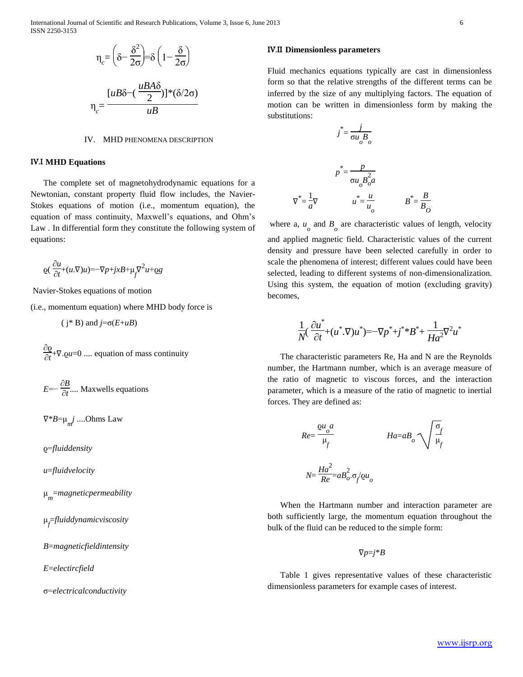International Journal of Scientific and Research Publications, Volume 3, Issue 6, June 2013 6 ISSN 2250-3153

$$
\eta_c = \left(\delta - \frac{\delta^2}{2\sigma}\right) = \delta \left(1 - \frac{\delta}{2\sigma}\right)
$$

$$
\eta_c = \frac{[uB\delta - (\frac{uBA\delta}{2})]^*(\delta/2\sigma)}{uB}
$$

## IV. MHD PHENOMENA DESCRIPTION

#### IV.I **MHD Equations**

The complete set of magnetohydrodynamic equations for a Newtonian, constant property fluid flow includes, the Navier-Stokes equations of motion (i.e., momentum equation), the equation of mass continuity, Maxwell's equations, and Ohm's Law . In differential form they constitute the following system of equations:

$$
\mathbf{Q}(\frac{\partial u}{\partial t}+(u.\nabla)u)=-\nabla p+jxB+\mu_f\nabla^2 u+\mathbf{Q}g
$$

Navier-Stokes equations of motion

(i.e., momentum equation) where MHD body force is

 $(i * B)$  and  $j = \sigma(E + uB)$ 

∂ϱ  $\frac{\partial \mathcal{L}}{\partial t}$ + $\nabla$ .*Qu*=0 .... equation of mass continuity

 $E=-\frac{\partial B}{\partial t}$ ∂*t* .... Maxwells equations

∇\**B*=μ *m j* ....Ohms Law

ϱ=*fluiddensity*

*u*=*fluidvelocity*

μ *m* =*magneticpermeability*

μ *f* =*fluiddynamicviscosity*

*B*=*magneticfieldintensity*

*E*=*electircfield*

σ=*electricalconductivity*

## IV.II **Dimensionless parameters**

Fluid mechanics equations typically are cast in dimensionless form so that the relative strengths of the different terms can be inferred by the size of any multiplying factors. The equation of motion can be written in dimensionless form by making the substitutions:

$$
j^* = \frac{j}{\sigma u_o B_o}
$$
  

$$
p^* = \frac{p}{\sigma u_o B_o^2 a}
$$
  

$$
\nabla^* = \frac{1}{a} \nabla \qquad \qquad u^* = \frac{u}{u_o} \qquad \qquad B^* = \frac{B}{B_o}
$$

where a,  $u_0$  and  $B_0$  are characteristic values of length, velocity and applied magnetic field. Characteristic values of the current density and pressure have been selected carefully in order to scale the phenomena of interest; different values could have been selected, leading to different systems of non-dimensionalization. Using this system, the equation of motion (excluding gravity) becomes,

$$
\frac{1}{N}(\frac{\partial u^*}{\partial t} + (u^*.\nabla)u^*) = -\nabla p^* + j^* B^* + \frac{1}{Ha^2}\nabla^2 u^*
$$

The characteristic parameters Re, Ha and N are the Reynolds number, the Hartmann number, which is an average measure of the ratio of magnetic to viscous forces, and the interaction parameter, which is a measure of the ratio of magnetic to inertial forces. They are defined as:

$$
Re = \frac{\rho u_o a}{\mu_f} \qquad Ha = aB_o \sqrt{\frac{\sigma_f}{\mu_f}}
$$

$$
N = \frac{Ha^2}{Re} = aB_o^2 \cdot \sigma_f \rho u_o
$$

When the Hartmann number and interaction parameter are both sufficiently large, the momentum equation throughout the bulk of the fluid can be reduced to the simple form:

 $\nabla p = j * B$ 

Table 1 gives representative values of these characteristic dimensionless parameters for example cases of interest.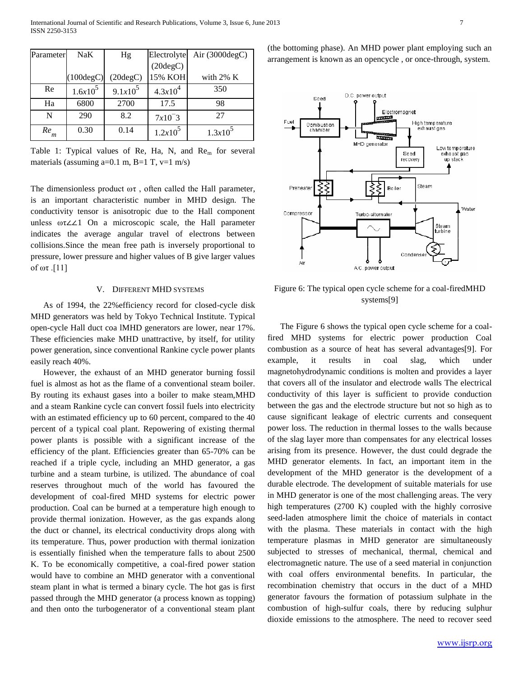| Parameter | <b>NaK</b>          | Hg         | Electrolyte  | Air $(3000 \text{deg}C)$ |
|-----------|---------------------|------------|--------------|--------------------------|
|           |                     |            | (20degC)     |                          |
|           | $(100 \text{degC})$ | (20degC)   | 15% KOH      | with $2\%$ K             |
| Re        | $1.6x10^5$          | $9.1x10^5$ | $4.3x10^{4}$ | 350                      |
| Ha        | 6800                | 2700       | 17.5         | 98                       |
| N         | 290                 | 8.2        | $7x10^-3$    | 27                       |
| Re<br>m   | 0.30                | 0.14       | $1.2x10^5$   | $1.3x10^5$               |

Table 1: Typical values of Re, Ha, N, and  $\text{Re}_{m}$  for several materials (assuming  $a=0.1$  m,  $B=1$  T,  $v=1$  m/s)

The dimensionless product  $\omega\tau$ , often called the Hall parameter, is an important characteristic number in MHD design. The conductivity tensor is anisotropic due to the Hall component unless ωτ∠∠1 On a microscopic scale, the Hall parameter indicates the average angular travel of electrons between collisions.Since the mean free path is inversely proportional to pressure, lower pressure and higher values of B give larger values of  $ωτ$ .[11]

## V. DIFFERENT MHD SYSTEMS

As of 1994, the 22%efficiency record for closed-cycle disk MHD generators was held by Tokyo Technical Institute. Typical open-cycle Hall duct coa lMHD generators are lower, near 17%. These efficiencies make MHD unattractive, by itself, for utility power generation, since conventional Rankine cycle power plants easily reach 40%.

However, the exhaust of an MHD generator burning fossil fuel is almost as hot as the flame of a conventional steam boiler. By routing its exhaust gases into a boiler to make steam,MHD and a steam Rankine cycle can convert fossil fuels into electricity with an estimated efficiency up to 60 percent, compared to the 40 percent of a typical coal plant. Repowering of existing thermal power plants is possible with a significant increase of the efficiency of the plant. Efficiencies greater than 65-70% can be reached if a triple cycle, including an MHD generator, a gas turbine and a steam turbine, is utilized. The abundance of coal reserves throughout much of the world has favoured the development of coal-fired MHD systems for electric power production. Coal can be burned at a temperature high enough to provide thermal ionization. However, as the gas expands along the duct or channel, its electrical conductivity drops along with its temperature. Thus, power production with thermal ionization is essentially finished when the temperature falls to about 2500 K. To be economically competitive, a coal-fired power station would have to combine an MHD generator with a conventional steam plant in what is termed a binary cycle. The hot gas is first passed through the MHD generator (a process known as topping) and then onto the turbogenerator of a conventional steam plant (the bottoming phase). An MHD power plant employing such an arrangement is known as an opencycle , or once-through, system.



Figure 6: The typical open cycle scheme for a coal-firedMHD systems[9]

The Figure 6 shows the typical open cycle scheme for a coalfired MHD systems for electric power production Coal combustion as a source of heat has several advantages[9]. For example, it results in coal slag, which under magnetohydrodynamic conditions is molten and provides a layer that covers all of the insulator and electrode walls The electrical conductivity of this layer is sufficient to provide conduction between the gas and the electrode structure but not so high as to cause significant leakage of electric currents and consequent power loss. The reduction in thermal losses to the walls because of the slag layer more than compensates for any electrical losses arising from its presence. However, the dust could degrade the MHD generator elements. In fact, an important item in the development of the MHD generator is the development of a durable electrode. The development of suitable materials for use in MHD generator is one of the most challenging areas. The very high temperatures (2700 K) coupled with the highly corrosive seed-laden atmosphere limit the choice of materials in contact with the plasma. These materials in contact with the high temperature plasmas in MHD generator are simultaneously subjected to stresses of mechanical, thermal, chemical and electromagnetic nature. The use of a seed material in conjunction with coal offers environmental benefits. In particular, the recombination chemistry that occurs in the duct of a MHD generator favours the formation of potassium sulphate in the combustion of high-sulfur coals, there by reducing sulphur dioxide emissions to the atmosphere. The need to recover seed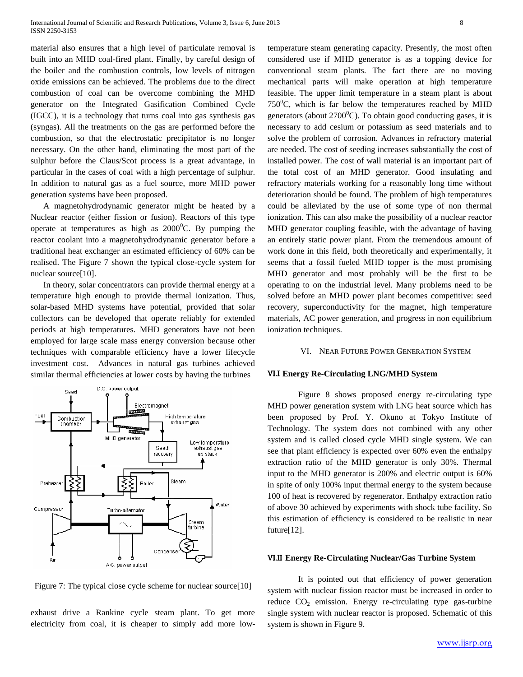material also ensures that a high level of particulate removal is built into an MHD coal-fired plant. Finally, by careful design of the boiler and the combustion controls, low levels of nitrogen oxide emissions can be achieved. The problems due to the direct combustion of coal can be overcome combining the MHD generator on the Integrated Gasification Combined Cycle (IGCC), it is a technology that turns coal into gas synthesis gas (syngas). All the treatments on the gas are performed before the combustion, so that the electrostatic precipitator is no longer necessary. On the other hand, eliminating the most part of the sulphur before the Claus/Scot process is a great advantage, in particular in the cases of coal with a high percentage of sulphur. In addition to natural gas as a fuel source, more MHD power generation systems have been proposed.

A magnetohydrodynamic generator might be heated by a Nuclear reactor (either fission or fusion). Reactors of this type operate at temperatures as high as  $2000^{\circ}$ C. By pumping the reactor coolant into a magnetohydrodynamic generator before a traditional heat exchanger an estimated efficiency of 60% can be realised. The Figure 7 shown the typical close-cycle system for nuclear source[10].

In theory, solar concentrators can provide thermal energy at a temperature high enough to provide thermal ionization. Thus, solar-based MHD systems have potential, provided that solar collectors can be developed that operate reliably for extended periods at high temperatures. MHD generators have not been employed for large scale mass energy conversion because other techniques with comparable efficiency have a lower lifecycle investment cost. Advances in natural gas turbines achieved similar thermal efficiencies at lower costs by having the turbines



Figure 7: The typical close cycle scheme for nuclear source[10]

exhaust drive a Rankine cycle steam plant. To get more electricity from coal, it is cheaper to simply add more lowtemperature steam generating capacity. Presently, the most often considered use if MHD generator is as a topping device for conventional steam plants. The fact there are no moving mechanical parts will make operation at high temperature feasible. The upper limit temperature in a steam plant is about  $750^{\circ}$ C, which is far below the temperatures reached by MHD generators (about  $2700^{\circ}$ C). To obtain good conducting gases, it is necessary to add cesium or potassium as seed materials and to solve the problem of corrosion. Advances in refractory material are needed. The cost of seeding increases substantially the cost of installed power. The cost of wall material is an important part of the total cost of an MHD generator. Good insulating and refractory materials working for a reasonably long time without deterioration should be found. The problem of high temperatures could be alleviated by the use of some type of non thermal ionization. This can also make the possibility of a nuclear reactor MHD generator coupling feasible, with the advantage of having an entirely static power plant. From the tremendous amount of work done in this field, both theoretically and experimentally, it seems that a fossil fueled MHD topper is the most promising MHD generator and most probably will be the first to be operating to on the industrial level. Many problems need to be solved before an MHD power plant becomes competitive: seed recovery, superconductivity for the magnet, high temperature materials, AC power generation, and progress in non equilibrium ionization techniques.

#### VI. NEAR FUTURE POWER GENERATION SYSTEM

#### VI.I **Energy Re-Circulating LNG/MHD System**

Figure 8 shows proposed energy re-circulating type MHD power generation system with LNG heat source which has been proposed by Prof. Y. Okuno at Tokyo Institute of Technology. The system does not combined with any other system and is called closed cycle MHD single system. We can see that plant efficiency is expected over 60% even the enthalpy extraction ratio of the MHD generator is only 30%. Thermal input to the MHD generator is 200% and electric output is 60% in spite of only 100% input thermal energy to the system because 100 of heat is recovered by regenerator. Enthalpy extraction ratio of above 30 achieved by experiments with shock tube facility. So this estimation of efficiency is considered to be realistic in near future[12].

## VI.II **Energy Re-Circulating Nuclear/Gas Turbine System**

It is pointed out that efficiency of power generation system with nuclear fission reactor must be increased in order to reduce  $CO<sub>2</sub>$  emission. Energy re-circulating type gas-turbine single system with nuclear reactor is proposed. Schematic of this system is shown in Figure 9.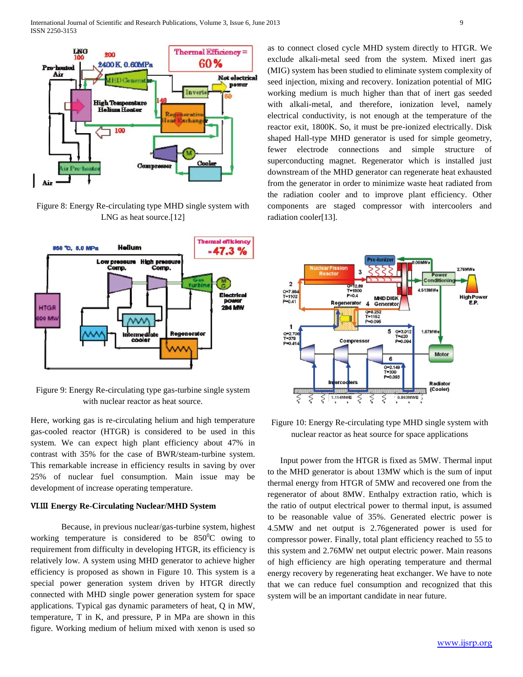

Figure 8: Energy Re-circulating type MHD single system with LNG as heat source.<sup>[12]</sup>



Figure 9: Energy Re-circulating type gas-turbine single system with nuclear reactor as heat source.

Here, working gas is re-circulating helium and high temperature gas-cooled reactor (HTGR) is considered to be used in this system. We can expect high plant efficiency about 47% in contrast with 35% for the case of BWR/steam-turbine system. This remarkable increase in efficiency results in saving by over 25% of nuclear fuel consumption. Main issue may be development of increase operating temperature.

## VI.III **Energy Re-Circulating Nuclear/MHD System**

Because, in previous nuclear/gas-turbine system, highest working temperature is considered to be  $850^{\circ}$ C owing to requirement from difficulty in developing HTGR, its efficiency is relatively low. A system using MHD generator to achieve higher efficiency is proposed as shown in Figure 10. This system is a special power generation system driven by HTGR directly connected with MHD single power generation system for space applications. Typical gas dynamic parameters of heat, Q in MW, temperature, T in K, and pressure, P in MPa are shown in this figure. Working medium of helium mixed with xenon is used so as to connect closed cycle MHD system directly to HTGR. We exclude alkali-metal seed from the system. Mixed inert gas (MIG) system has been studied to eliminate system complexity of seed injection, mixing and recovery. Ionization potential of MIG working medium is much higher than that of inert gas seeded with alkali-metal, and therefore, ionization level, namely electrical conductivity, is not enough at the temperature of the reactor exit, 1800K. So, it must be pre-ionized electrically. Disk shaped Hall-type MHD generator is used for simple geometry, fewer electrode connections and simple structure of superconducting magnet. Regenerator which is installed just downstream of the MHD generator can regenerate heat exhausted from the generator in order to minimize waste heat radiated from the radiation cooler and to improve plant efficiency. Other components are staged compressor with intercoolers and radiation cooler[13].



Figure 10: Energy Re-circulating type MHD single system with nuclear reactor as heat source for space applications

Input power from the HTGR is fixed as 5MW. Thermal input to the MHD generator is about 13MW which is the sum of input thermal energy from HTGR of 5MW and recovered one from the regenerator of about 8MW. Enthalpy extraction ratio, which is the ratio of output electrical power to thermal input, is assumed to be reasonable value of 35%. Generated electric power is 4.5MW and net output is 2.76generated power is used for compressor power. Finally, total plant efficiency reached to 55 to this system and 2.76MW net output electric power. Main reasons of high efficiency are high operating temperature and thermal energy recovery by regenerating heat exchanger. We have to note that we can reduce fuel consumption and recognized that this system will be an important candidate in near future.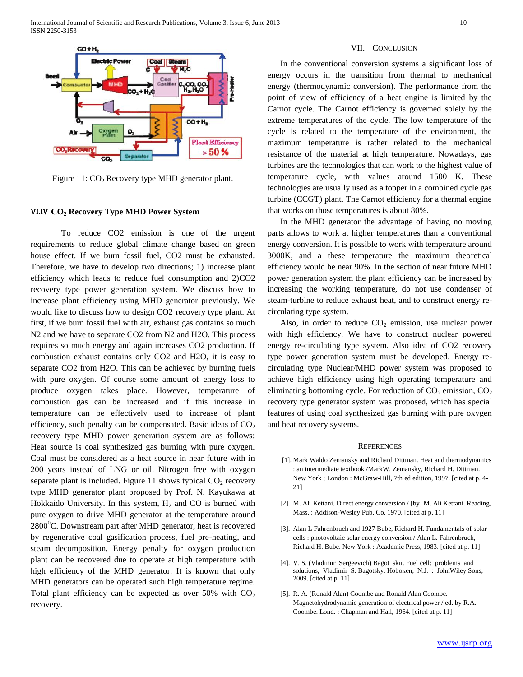

Figure  $11: CO<sub>2</sub>$  Recovery type MHD generator plant.

#### VI.IV **CO<sup>2</sup> Recovery Type MHD Power System**

To reduce CO2 emission is one of the urgent requirements to reduce global climate change based on green house effect. If we burn fossil fuel, CO2 must be exhausted. Therefore, we have to develop two directions; 1) increase plant efficiency which leads to reduce fuel consumption and 2)CO2 recovery type power generation system. We discuss how to increase plant efficiency using MHD generator previously. We would like to discuss how to design CO2 recovery type plant. At first, if we burn fossil fuel with air, exhaust gas contains so much N2 and we have to separate CO2 from N2 and H2O. This process requires so much energy and again increases CO2 production. If combustion exhaust contains only CO2 and H2O, it is easy to separate CO2 from H2O. This can be achieved by burning fuels with pure oxygen. Of course some amount of energy loss to produce oxygen takes place. However, temperature of combustion gas can be increased and if this increase in temperature can be effectively used to increase of plant efficiency, such penalty can be compensated. Basic ideas of  $CO<sub>2</sub>$ recovery type MHD power generation system are as follows: Heat source is coal synthesized gas burning with pure oxygen. Coal must be considered as a heat source in near future with in 200 years instead of LNG or oil. Nitrogen free with oxygen separate plant is included. Figure 11 shows typical  $CO<sub>2</sub>$  recovery type MHD generator plant proposed by Prof. N. Kayukawa at Hokkaido University. In this system,  $H_2$  and CO is burned with pure oxygen to drive MHD generator at the temperature around  $2800^{\circ}$ C. Downstream part after MHD generator, heat is recovered by regenerative coal gasification process, fuel pre-heating, and steam decomposition. Energy penalty for oxygen production plant can be recovered due to operate at high temperature with high efficiency of the MHD generator. It is known that only MHD generators can be operated such high temperature regime. Total plant efficiency can be expected as over  $50\%$  with  $CO<sub>2</sub>$ recovery.

## VII. CONCLUSION

In the conventional conversion systems a significant loss of energy occurs in the transition from thermal to mechanical energy (thermodynamic conversion). The performance from the point of view of efficiency of a heat engine is limited by the Carnot cycle. The Carnot efficiency is governed solely by the extreme temperatures of the cycle. The low temperature of the cycle is related to the temperature of the environment, the maximum temperature is rather related to the mechanical resistance of the material at high temperature. Nowadays, gas turbines are the technologies that can work to the highest value of temperature cycle, with values around 1500 K. These technologies are usually used as a topper in a combined cycle gas turbine (CCGT) plant. The Carnot efficiency for a thermal engine that works on those temperatures is about 80%.

In the MHD generator the advantage of having no moving parts allows to work at higher temperatures than a conventional energy conversion. It is possible to work with temperature around 3000K, and a these temperature the maximum theoretical efficiency would be near 90%. In the section of near future MHD power generation system the plant efficiency can be increased by increasing the working temperature, do not use condenser of steam-turbine to reduce exhaust heat, and to construct energy recirculating type system.

Also, in order to reduce  $CO<sub>2</sub>$  emission, use nuclear power with high efficiency. We have to construct nuclear powered energy re-circulating type system. Also idea of CO2 recovery type power generation system must be developed. Energy recirculating type Nuclear/MHD power system was proposed to achieve high efficiency using high operating temperature and eliminating bottoming cycle. For reduction of  $CO_2$  emission,  $CO_2$ recovery type generator system was proposed, which has special features of using coal synthesized gas burning with pure oxygen and heat recovery systems.

#### **REFERENCES**

- [1]. Mark Waldo Zemansky and Richard Dittman. Heat and thermodynamics : an intermediate textbook /MarkW. Zemansky, Richard H. Dittman. New York ; London : McGraw-Hill, 7th ed edition, 1997. [cited at p. 4- 21]
- [2]. M. Ali Kettani. Direct energy conversion / [by] M. Ali Kettani. Reading, Mass. : Addison-Wesley Pub. Co, 1970. [cited at p. 11]
- [3]. Alan L Fahrenbruch and 1927 Bube, Richard H. Fundamentals of solar cells : photovoltaic solar energy conversion / Alan L. Fahrenbruch, Richard H. Bube. New York : Academic Press, 1983. [cited at p. 11]
- [4]. V. S. (Vladimir Sergeevich) Bagot skii. Fuel cell: problems and solutions, Vladimir S. Bagotsky. Hoboken, N.J. : JohnWiley Sons, 2009. [cited at p. 11]
- [5]. R. A. (Ronald Alan) Coombe and Ronald Alan Coombe. Magnetohydrodynamic generation of electrical power / ed. by R.A. Coombe. Lond. : Chapman and Hall, 1964. [cited at p. 11]